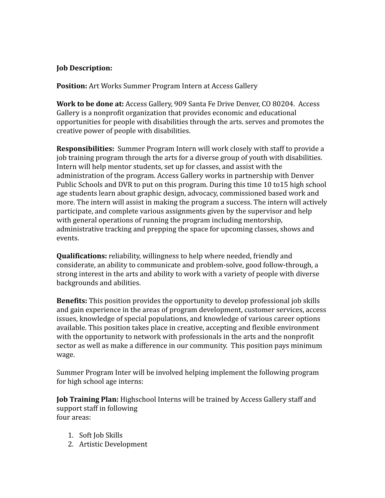## **Job Description:**

**Position:** Art Works Summer Program Intern at Access Gallery

**Work to be done at:** Access Gallery, 909 Santa Fe Drive Denver, CO 80204. Access Gallery is a nonprofit organization that provides economic and educational opportunities for people with disabilities through the arts. serves and promotes the creative power of people with disabilities.

**Responsibilities:** Summer Program Intern will work closely with staff to provide a job training program through the arts for a diverse group of youth with disabilities. Intern will help mentor students, set up for classes, and assist with the administration of the program. Access Gallery works in partnership with Denver Public Schools and DVR to put on this program. During this time 10 to15 high school age students learn about graphic design, advocacy, commissioned based work and more. The intern will assist in making the program a success. The intern will actively participate, and complete various assignments given by the supervisor and help with general operations of running the program including mentorship, administrative tracking and prepping the space for upcoming classes, shows and events.

**Qualifications:** reliability, willingness to help where needed, friendly and considerate, an ability to communicate and problem-solve, good follow-through, a strong interest in the arts and ability to work with a variety of people with diverse backgrounds and abilities.

**Benefits:** This position provides the opportunity to develop professional job skills and gain experience in the areas of program development, customer services, access issues, knowledge of special populations, and knowledge of various career options available. This position takes place in creative, accepting and flexible environment with the opportunity to network with professionals in the arts and the nonprofit sector as well as make a difference in our community. This position pays minimum wage.

Summer Program Inter will be involved helping implement the following program for high school age interns:

**Job Training Plan:** Highschool Interns will be trained by Access Gallery staff and support staff in following four areas:

- 1. Soft Job Skills
- 2. Artistic Development